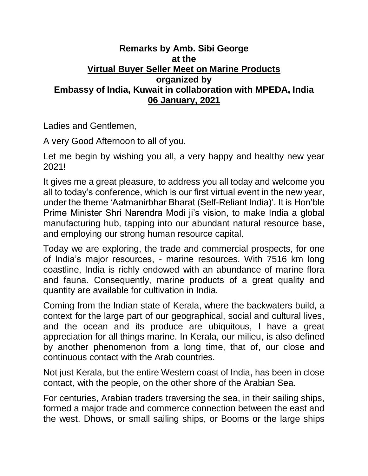## **Remarks by Amb. Sibi George at the Virtual Buyer Seller Meet on Marine Products organized by Embassy of India, Kuwait in collaboration with MPEDA, India 06 January, 2021**

Ladies and Gentlemen,

A very Good Afternoon to all of you.

Let me begin by wishing you all, a very happy and healthy new year 2021!

It gives me a great pleasure, to address you all today and welcome you all to today's conference, which is our first virtual event in the new year, under the theme 'Aatmanirbhar Bharat (Self-Reliant India)'. It is Hon'ble Prime Minister Shri Narendra Modi ji's vision, to make India a global manufacturing hub, tapping into our abundant natural resource base, and employing our strong human resource capital.

Today we are exploring, the trade and commercial prospects, for one of India's major resources, - marine resources. With 7516 km long coastline, India is richly endowed with an abundance of marine flora and fauna. Consequently, marine products of a great quality and quantity are available for cultivation in India.

Coming from the Indian state of Kerala, where the backwaters build, a context for the large part of our geographical, social and cultural lives, and the ocean and its produce are ubiquitous, I have a great appreciation for all things marine. In Kerala, our milieu, is also defined by another phenomenon from a long time, that of, our close and continuous contact with the Arab countries.

Not just Kerala, but the entire Western coast of India, has been in close contact, with the people, on the other shore of the Arabian Sea.

For centuries, Arabian traders traversing the sea, in their sailing ships, formed a major trade and commerce connection between the east and the west. Dhows, or small sailing ships, or Booms or the large ships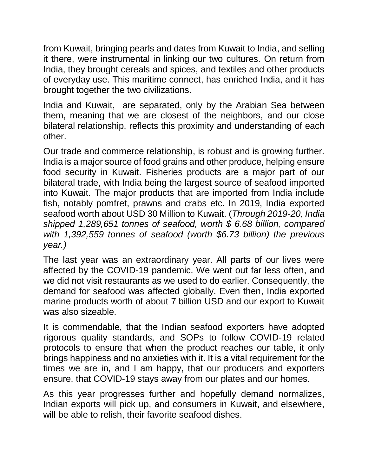from Kuwait, bringing pearls and dates from Kuwait to India, and selling it there, were instrumental in linking our two cultures. On return from India, they brought cereals and spices, and textiles and other products of everyday use. This maritime connect, has enriched India, and it has brought together the two civilizations.

India and Kuwait, are separated, only by the Arabian Sea between them, meaning that we are closest of the neighbors, and our close bilateral relationship, reflects this proximity and understanding of each other.

Our trade and commerce relationship, is robust and is growing further. India is a major source of food grains and other produce, helping ensure food security in Kuwait. Fisheries products are a major part of our bilateral trade, with India being the largest source of seafood imported into Kuwait. The major products that are imported from India include fish, notably pomfret, prawns and crabs etc. In 2019, India exported seafood worth about USD 30 Million to Kuwait. (*Through 2019-20, India shipped 1,289,651 tonnes of seafood, worth \$ 6.68 billion, compared with 1,392,559 tonnes of seafood (worth \$6.73 billion) the previous year.)*

The last year was an extraordinary year. All parts of our lives were affected by the COVID-19 pandemic. We went out far less often, and we did not visit restaurants as we used to do earlier. Consequently, the demand for seafood was affected globally. Even then, India exported marine products worth of about 7 billion USD and our export to Kuwait was also sizeable.

It is commendable, that the Indian seafood exporters have adopted rigorous quality standards, and SOPs to follow COVID-19 related protocols to ensure that when the product reaches our table, it only brings happiness and no anxieties with it. It is a vital requirement for the times we are in, and I am happy, that our producers and exporters ensure, that COVID-19 stays away from our plates and our homes.

As this year progresses further and hopefully demand normalizes, Indian exports will pick up, and consumers in Kuwait, and elsewhere, will be able to relish, their favorite seafood dishes.